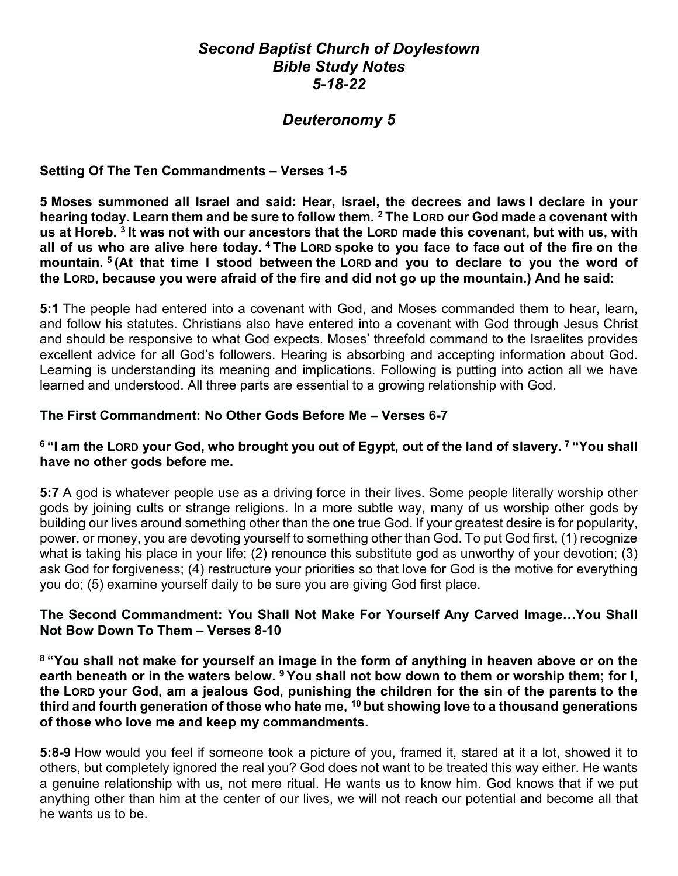# *Second Baptist Church of Doylestown Bible Study Notes 5-18-22*

# *Deuteronomy 5*

### **Setting Of The Ten Commandments – Verses 1-5**

**5 Moses summoned all Israel and said: Hear, Israel, the decrees and laws I declare in your hearing today. Learn them and be sure to follow them. <sup>2</sup> The LORD our God made a covenant with us at Horeb. <sup>3</sup> It was not with our ancestors that the LORD made this covenant, but with us, with all of us who are alive here today. <sup>4</sup> The LORD spoke to you face to face out of the fire on the mountain. <sup>5</sup> (At that time I stood between the LORD and you to declare to you the word of the LORD, because you were afraid of the fire and did not go up the mountain.) And he said:**

**5:1** The people had entered into a covenant with God, and Moses commanded them to hear, learn, and follow his statutes. Christians also have entered into a covenant with God through Jesus Christ and should be responsive to what God expects. Moses' threefold command to the Israelites provides excellent advice for all God's followers. Hearing is absorbing and accepting information about God. Learning is understanding its meaning and implications. Following is putting into action all we have learned and understood. All three parts are essential to a growing relationship with God.

#### **The First Commandment: No Other Gods Before Me – Verses 6-7**

# **<sup>6</sup> "I am the LORD your God, who brought you out of Egypt, out of the land of slavery. <sup>7</sup> "You shall have no other gods before me.**

**5:7** A god is whatever people use as a driving force in their lives. Some people literally worship other gods by joining cults or strange religions. In a more subtle way, many of us worship other gods by building our lives around something other than the one true God. If your greatest desire is for popularity, power, or money, you are devoting yourself to something other than God. To put God first, (1) recognize what is taking his place in your life; (2) renounce this substitute god as unworthy of your devotion; (3) ask God for forgiveness; (4) restructure your priorities so that love for God is the motive for everything you do; (5) examine yourself daily to be sure you are giving God first place.

#### **The Second Commandment: You Shall Not Make For Yourself Any Carved Image…You Shall Not Bow Down To Them – Verses 8-10**

**<sup>8</sup> "You shall not make for yourself an image in the form of anything in heaven above or on the earth beneath or in the waters below. <sup>9</sup> You shall not bow down to them or worship them; for I, the LORD your God, am a jealous God, punishing the children for the sin of the parents to the third and fourth generation of those who hate me, <sup>10</sup> but showing love to a thousand generations of those who love me and keep my commandments.**

**5:8-9** How would you feel if someone took a picture of you, framed it, stared at it a lot, showed it to others, but completely ignored the real you? God does not want to be treated this way either. He wants a genuine relationship with us, not mere ritual. He wants us to know him. God knows that if we put anything other than him at the center of our lives, we will not reach our potential and become all that he wants us to be.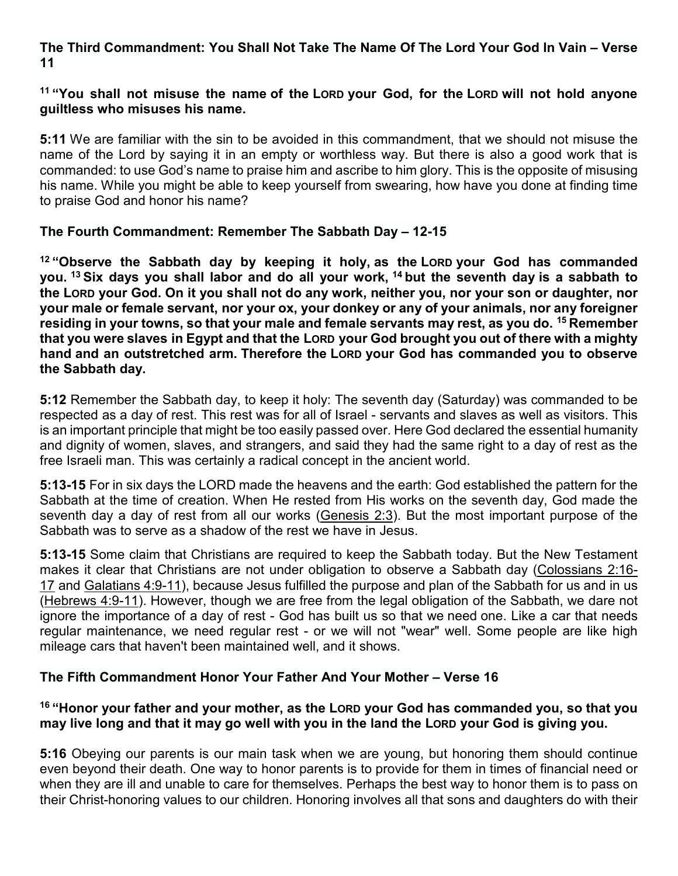# **The Third Commandment: You Shall Not Take The Name Of The Lord Your God In Vain – Verse 11**

### **<sup>11</sup> "You shall not misuse the name of the LORD your God, for the LORD will not hold anyone guiltless who misuses his name.**

**5:11** We are familiar with the sin to be avoided in this commandment, that we should not misuse the name of the Lord by saying it in an empty or worthless way. But there is also a good work that is commanded: to use God's name to praise him and ascribe to him glory. This is the opposite of misusing his name. While you might be able to keep yourself from swearing, how have you done at finding time to praise God and honor his name?

# **The Fourth Commandment: Remember The Sabbath Day – 12-15**

**<sup>12</sup> "Observe the Sabbath day by keeping it holy, as the LORD your God has commanded you. <sup>13</sup> Six days you shall labor and do all your work, <sup>14</sup> but the seventh day is a sabbath to the LORD your God. On it you shall not do any work, neither you, nor your son or daughter, nor your male or female servant, nor your ox, your donkey or any of your animals, nor any foreigner residing in your towns, so that your male and female servants may rest, as you do. <sup>15</sup> Remember that you were slaves in Egypt and that the LORD your God brought you out of there with a mighty hand and an outstretched arm. Therefore the LORD your God has commanded you to observe the Sabbath day.**

**5:12** Remember the Sabbath day, to keep it holy: The seventh day (Saturday) was commanded to be respected as a day of rest. This rest was for all of Israel - servants and slaves as well as visitors. This is an important principle that might be too easily passed over. Here God declared the essential humanity and dignity of women, slaves, and strangers, and said they had the same right to a day of rest as the free Israeli man. This was certainly a radical concept in the ancient world.

**5:13-15** For in six days the LORD made the heavens and the earth: God established the pattern for the Sabbath at the time of creation. When He rested from His works on the seventh day, God made the seventh day a day of rest from all our works [\(Genesis 2:3\)](https://www.blueletterbible.org/kjv/gen/2/3/s_2003). But the most important purpose of the Sabbath was to serve as a shadow of the rest we have in Jesus.

**5:13-15** Some claim that Christians are required to keep the Sabbath today. But the New Testament makes it clear that Christians are not under obligation to observe a Sabbath day [\(Colossians 2:16-](https://www.blueletterbible.org/kjv/col/2/16-17/s_1109016) [17](https://www.blueletterbible.org/kjv/col/2/16-17/s_1109016) and [Galatians 4:9-11\)](https://www.blueletterbible.org/kjv/gal/4/9-11/s_1095009), because Jesus fulfilled the purpose and plan of the Sabbath for us and in us [\(Hebrews 4:9-11\)](https://www.blueletterbible.org/kjv/heb/4/9-11/s_1137009). However, though we are free from the legal obligation of the Sabbath, we dare not ignore the importance of a day of rest - God has built us so that we need one. Like a car that needs regular maintenance, we need regular rest - or we will not "wear" well. Some people are like high mileage cars that haven't been maintained well, and it shows.

# **The Fifth Commandment Honor Your Father And Your Mother – Verse 16**

# **<sup>16</sup> "Honor your father and your mother, as the LORD your God has commanded you, so that you may live long and that it may go well with you in the land the LORD your God is giving you.**

**5:16** Obeying our parents is our main task when we are young, but honoring them should continue even beyond their death. One way to honor parents is to provide for them in times of financial need or when they are ill and unable to care for themselves. Perhaps the best way to honor them is to pass on their Christ-honoring values to our children. Honoring involves all that sons and daughters do with their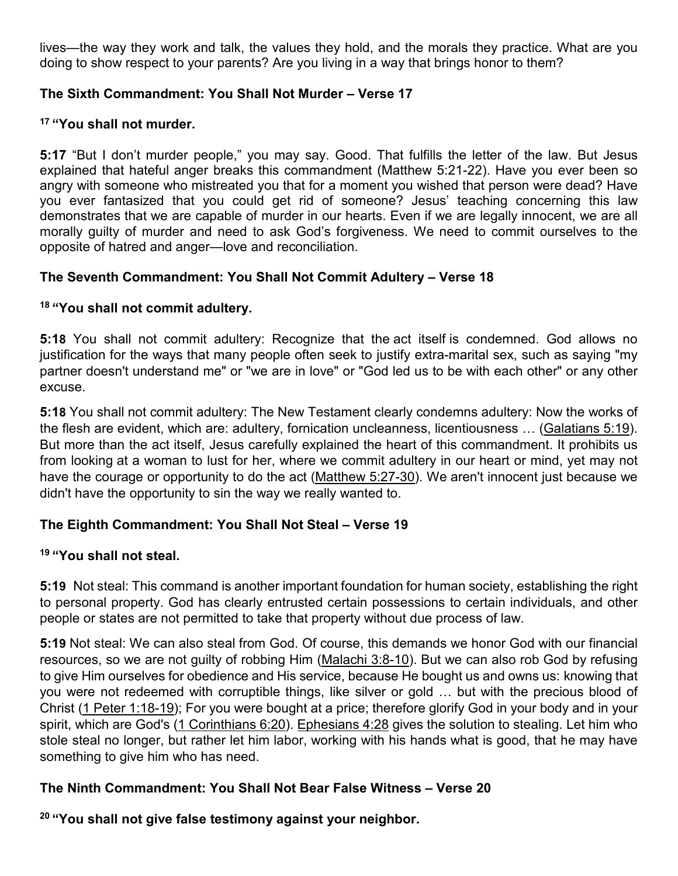lives—the way they work and talk, the values they hold, and the morals they practice. What are you doing to show respect to your parents? Are you living in a way that brings honor to them?

# **The Sixth Commandment: You Shall Not Murder – Verse 17**

# **<sup>17</sup> "You shall not murder.**

**5:17** "But I don't murder people," you may say. Good. That fulfills the letter of the law. But Jesus explained that hateful anger breaks this commandment (Matthew 5:21-22). Have you ever been so angry with someone who mistreated you that for a moment you wished that person were dead? Have you ever fantasized that you could get rid of someone? Jesus' teaching concerning this law demonstrates that we are capable of murder in our hearts. Even if we are legally innocent, we are all morally guilty of murder and need to ask God's forgiveness. We need to commit ourselves to the opposite of hatred and anger—love and reconciliation.

# **The Seventh Commandment: You Shall Not Commit Adultery – Verse 18**

# **<sup>18</sup> "You shall not commit adultery.**

**5:18** You shall not commit adultery: Recognize that the act itself is condemned. God allows no justification for the ways that many people often seek to justify extra-marital sex, such as saying "my partner doesn't understand me" or "we are in love" or "God led us to be with each other" or any other excuse.

**5:18** You shall not commit adultery: The New Testament clearly condemns adultery: Now the works of the flesh are evident, which are: adultery, fornication uncleanness, licentiousness … [\(Galatians 5:19\)](https://www.blueletterbible.org/kjv/gal/5/19/s_1096019). But more than the act itself, Jesus carefully explained the heart of this commandment. It prohibits us from looking at a woman to lust for her, where we commit adultery in our heart or mind, yet may not have the courage or opportunity to do the act [\(Matthew 5:27-30\)](https://www.blueletterbible.org/kjv/mat/5/27-30/s_934027). We aren't innocent just because we didn't have the opportunity to sin the way we really wanted to.

# **The Eighth Commandment: You Shall Not Steal – Verse 19**

#### **<sup>19</sup> "You shall not steal.**

**5:19** Not steal: This command is another important foundation for human society, establishing the right to personal property. God has clearly entrusted certain possessions to certain individuals, and other people or states are not permitted to take that property without due process of law.

**5:19** Not steal: We can also steal from God. Of course, this demands we honor God with our financial resources, so we are not guilty of robbing Him [\(Malachi 3:8-10\)](https://www.blueletterbible.org/kjv/mal/3/8-10/s_928008). But we can also rob God by refusing to give Him ourselves for obedience and His service, because He bought us and owns us: knowing that you were not redeemed with corruptible things, like silver or gold … but with the precious blood of Christ [\(1 Peter 1:18-19\)](https://www.blueletterbible.org/kjv/1pe/1/18-19/s_1152018); For you were bought at a price; therefore glorify God in your body and in your spirit, which are God's [\(1 Corinthians 6:20\)](https://www.blueletterbible.org/kjv/1co/6/20/s_1068020). [Ephesians 4:28](https://www.blueletterbible.org/kjv/eph/4/28/s_1101028) gives the solution to stealing. Let him who stole steal no longer, but rather let him labor, working with his hands what is good, that he may have something to give him who has need.

# **The Ninth Commandment: You Shall Not Bear False Witness – Verse 20**

**<sup>20</sup> "You shall not give false testimony against your neighbor.**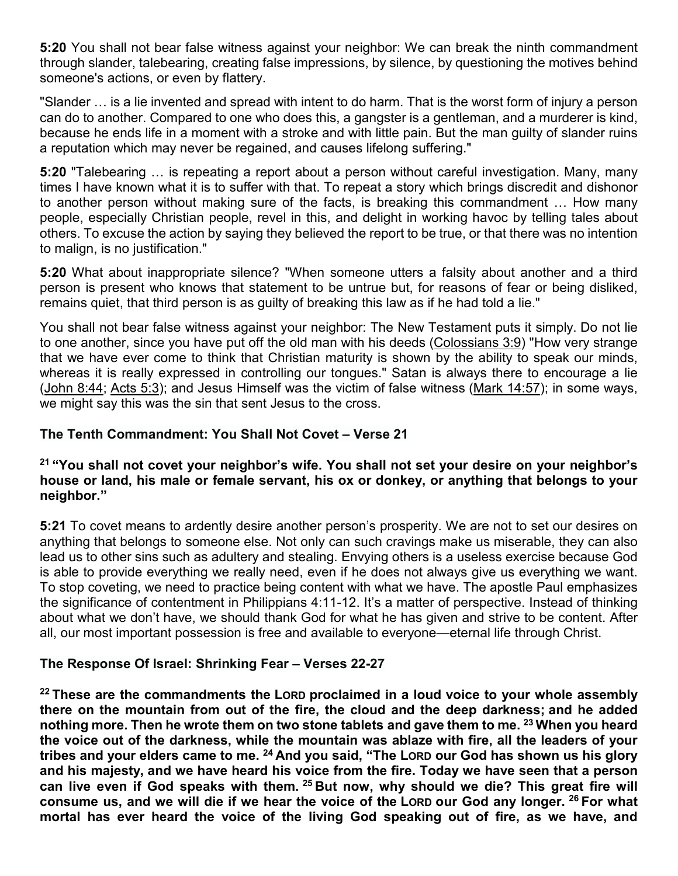**5:20** You shall not bear false witness against your neighbor: We can break the ninth commandment through slander, talebearing, creating false impressions, by silence, by questioning the motives behind someone's actions, or even by flattery.

"Slander … is a lie invented and spread with intent to do harm. That is the worst form of injury a person can do to another. Compared to one who does this, a gangster is a gentleman, and a murderer is kind, because he ends life in a moment with a stroke and with little pain. But the man guilty of slander ruins a reputation which may never be regained, and causes lifelong suffering."

**5:20** "Talebearing … is repeating a report about a person without careful investigation. Many, many times I have known what it is to suffer with that. To repeat a story which brings discredit and dishonor to another person without making sure of the facts, is breaking this commandment … How many people, especially Christian people, revel in this, and delight in working havoc by telling tales about others. To excuse the action by saying they believed the report to be true, or that there was no intention to malign, is no justification."

**5:20** What about inappropriate silence? "When someone utters a falsity about another and a third person is present who knows that statement to be untrue but, for reasons of fear or being disliked, remains quiet, that third person is as guilty of breaking this law as if he had told a lie."

You shall not bear false witness against your neighbor: The New Testament puts it simply. Do not lie to one another, since you have put off the old man with his deeds [\(Colossians 3:9\)](https://www.blueletterbible.org/kjv/col/3/9/s_1110009) "How very strange that we have ever come to think that Christian maturity is shown by the ability to speak our minds, whereas it is really expressed in controlling our tongues." Satan is always there to encourage a lie [\(John 8:44;](https://www.blueletterbible.org/kjv/jhn/8/44/s_1005044) [Acts 5:3\)](https://www.blueletterbible.org/kjv/act/5/3/s_1023003); and Jesus Himself was the victim of false witness [\(Mark 14:57\)](https://www.blueletterbible.org/kjv/mar/14/57/s_971057); in some ways, we might say this was the sin that sent Jesus to the cross.

# **The Tenth Commandment: You Shall Not Covet – Verse 21**

# **<sup>21</sup> "You shall not covet your neighbor's wife. You shall not set your desire on your neighbor's house or land, his male or female servant, his ox or donkey, or anything that belongs to your neighbor."**

**5:21** To covet means to ardently desire another person's prosperity. We are not to set our desires on anything that belongs to someone else. Not only can such cravings make us miserable, they can also lead us to other sins such as adultery and stealing. Envying others is a useless exercise because God is able to provide everything we really need, even if he does not always give us everything we want. To stop coveting, we need to practice being content with what we have. The apostle Paul emphasizes the significance of contentment in Philippians 4:11-12. It's a matter of perspective. Instead of thinking about what we don't have, we should thank God for what he has given and strive to be content. After all, our most important possession is free and available to everyone—eternal life through Christ.

#### **The Response Of Israel: Shrinking Fear – Verses 22-27**

**<sup>22</sup> These are the commandments the LORD proclaimed in a loud voice to your whole assembly there on the mountain from out of the fire, the cloud and the deep darkness; and he added nothing more. Then he wrote them on two stone tablets and gave them to me. <sup>23</sup> When you heard the voice out of the darkness, while the mountain was ablaze with fire, all the leaders of your tribes and your elders came to me. <sup>24</sup> And you said, "The LORD our God has shown us his glory and his majesty, and we have heard his voice from the fire. Today we have seen that a person can live even if God speaks with them. <sup>25</sup> But now, why should we die? This great fire will consume us, and we will die if we hear the voice of the LORD our God any longer. <sup>26</sup> For what mortal has ever heard the voice of the living God speaking out of fire, as we have, and**